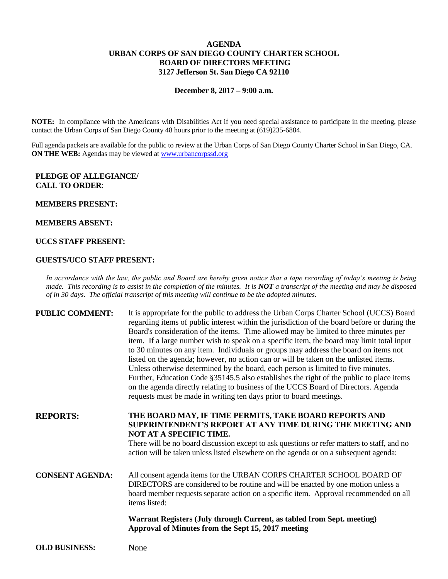# **AGENDA URBAN CORPS OF SAN DIEGO COUNTY CHARTER SCHOOL BOARD OF DIRECTORS MEETING 3127 Jefferson St. San Diego CA 92110**

# **December 8, 2017 – 9:00 a.m.**

**NOTE:** In compliance with the Americans with Disabilities Act if you need special assistance to participate in the meeting, please contact the Urban Corps of San Diego County 48 hours prior to the meeting at (619)235-6884.

Full agenda packets are available for the public to review at the Urban Corps of San Diego County Charter School in San Diego, CA. **ON THE WEB:** Agendas may be viewed at [www.urbancorpssd.org](http://www.urbancorpssd.org/)

### **PLEDGE OF ALLEGIANCE/ CALL TO ORDER**:

#### **MEMBERS PRESENT:**

#### **MEMBERS ABSENT:**

## **UCCS STAFF PRESENT:**

#### **GUESTS/UCO STAFF PRESENT:**

*In accordance with the law, the public and Board are hereby given notice that a tape recording of today's meeting is being made. This recording is to assist in the completion of the minutes. It is NOT a transcript of the meeting and may be disposed of in 30 days. The official transcript of this meeting will continue to be the adopted minutes.*

**PUBLIC COMMENT:** It is appropriate for the public to address the Urban Corps Charter School (UCCS) Board regarding items of public interest within the jurisdiction of the board before or during the Board's consideration of the items. Time allowed may be limited to three minutes per item. If a large number wish to speak on a specific item, the board may limit total input to 30 minutes on any item. Individuals or groups may address the board on items not listed on the agenda; however, no action can or will be taken on the unlisted items. Unless otherwise determined by the board, each person is limited to five minutes. Further, Education Code §35145.5 also establishes the right of the public to place items on the agenda directly relating to business of the UCCS Board of Directors. Agenda requests must be made in writing ten days prior to board meetings.

**REPORTS: THE BOARD MAY, IF TIME PERMITS, TAKE BOARD REPORTS AND SUPERINTENDENT'S REPORT AT ANY TIME DURING THE MEETING AND NOT AT A SPECIFIC TIME.**

> There will be no board discussion except to ask questions or refer matters to staff, and no action will be taken unless listed elsewhere on the agenda or on a subsequent agenda:

# **CONSENT AGENDA:** All consent agenda items for the URBAN CORPS CHARTER SCHOOL BOARD OF DIRECTORS are considered to be routine and will be enacted by one motion unless a board member requests separate action on a specific item. Approval recommended on all items listed:

**Warrant Registers (July through Current, as tabled from Sept. meeting) Approval of Minutes from the Sept 15, 2017 meeting**

**OLD BUSINESS:** None